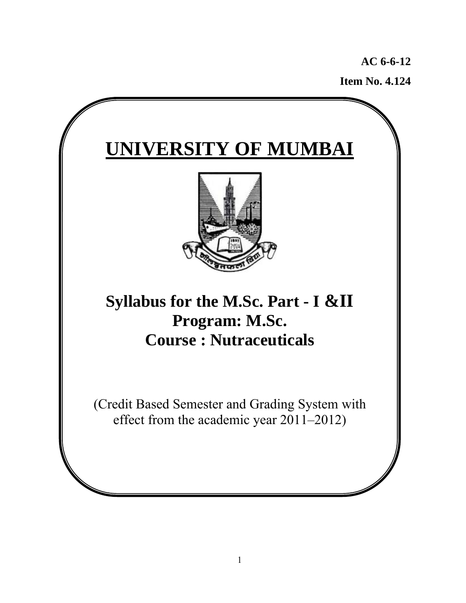**AC 6-6-12 Item No. 4.124**

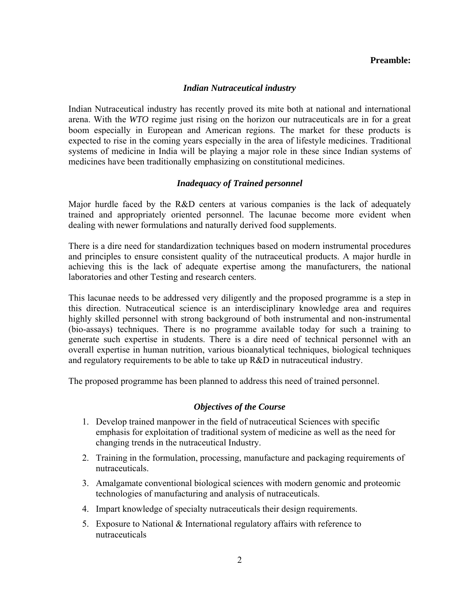#### **Preamble:**

#### *Indian Nutraceutical industry*

Indian Nutraceutical industry has recently proved its mite both at national and international arena. With the *WTO* regime just rising on the horizon our nutraceuticals are in for a great boom especially in European and American regions. The market for these products is expected to rise in the coming years especially in the area of lifestyle medicines. Traditional systems of medicine in India will be playing a major role in these since Indian systems of medicines have been traditionally emphasizing on constitutional medicines.

#### *Inadequacy of Trained personnel*

Major hurdle faced by the R&D centers at various companies is the lack of adequately trained and appropriately oriented personnel. The lacunae become more evident when dealing with newer formulations and naturally derived food supplements.

There is a dire need for standardization techniques based on modern instrumental procedures and principles to ensure consistent quality of the nutraceutical products. A major hurdle in achieving this is the lack of adequate expertise among the manufacturers, the national laboratories and other Testing and research centers.

This lacunae needs to be addressed very diligently and the proposed programme is a step in this direction. Nutraceutical science is an interdisciplinary knowledge area and requires highly skilled personnel with strong background of both instrumental and non-instrumental (bio-assays) techniques. There is no programme available today for such a training to generate such expertise in students. There is a dire need of technical personnel with an overall expertise in human nutrition, various bioanalytical techniques, biological techniques and regulatory requirements to be able to take up R&D in nutraceutical industry.

The proposed programme has been planned to address this need of trained personnel.

#### *Objectives of the Course*

- 1. Develop trained manpower in the field of nutraceutical Sciences with specific emphasis for exploitation of traditional system of medicine as well as the need for changing trends in the nutraceutical Industry.
- 2. Training in the formulation, processing, manufacture and packaging requirements of nutraceuticals.
- 3. Amalgamate conventional biological sciences with modern genomic and proteomic technologies of manufacturing and analysis of nutraceuticals.
- 4. Impart knowledge of specialty nutraceuticals their design requirements.
- 5. Exposure to National & International regulatory affairs with reference to nutraceuticals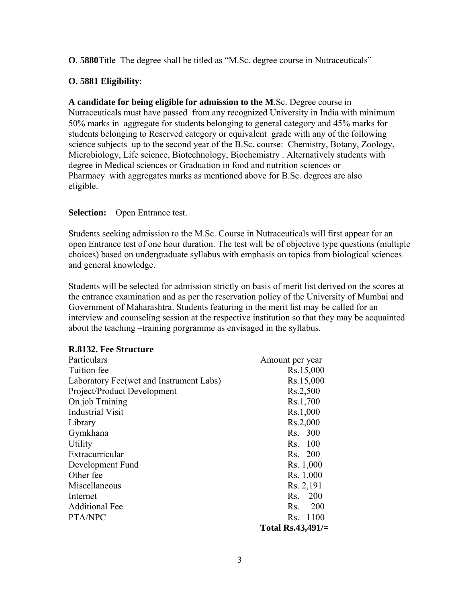**O**. **5880**Title The degree shall be titled as "M.Sc. degree course in Nutraceuticals"

# **O. 5881 Eligibility**:

**A candidate for being eligible for admission to the M**.Sc. Degree course in Nutraceuticals must have passed from any recognized University in India with minimum 50% marks in aggregate for students belonging to general category and 45% marks for students belonging to Reserved category or equivalent grade with any of the following science subjects up to the second year of the B.Sc. course: Chemistry, Botany, Zoology, Microbiology, Life science, Biotechnology, Biochemistry . Alternatively students with degree in Medical sciences or Graduation in food and nutrition sciences or Pharmacy with aggregates marks as mentioned above for B.Sc. degrees are also eligible.

# **Selection:** Open Entrance test.

Students seeking admission to the M.Sc. Course in Nutraceuticals will first appear for an open Entrance test of one hour duration. The test will be of objective type questions (multiple choices) based on undergraduate syllabus with emphasis on topics from biological sciences and general knowledge.

Students will be selected for admission strictly on basis of merit list derived on the scores at the entrance examination and as per the reservation policy of the University of Mumbai and Government of Maharashtra. Students featuring in the merit list may be called for an interview and counseling session at the respective institution so that they may be acquainted about the teaching –training porgramme as envisaged in the syllabus.

| R.8132. Fee Structure                   |                      |
|-----------------------------------------|----------------------|
| Particulars                             | Amount per year      |
| Tuition fee                             | Rs.15,000            |
| Laboratory Fee(wet and Instrument Labs) | Rs.15,000            |
| Project/Product Development             | Rs.2,500             |
| On job Training                         | Rs.1,700             |
| <b>Industrial Visit</b>                 | Rs.1,000             |
| Library                                 | Rs.2,000             |
| Gymkhana                                | Rs. 300              |
| Utility                                 | Rs. 100              |
| Extracurricular                         | Rs. 200              |
| Development Fund                        | Rs. 1,000            |
| Other fee                               | Rs. 1,000            |
| Miscellaneous                           | Rs. 2,191            |
| Internet                                | 200<br>Rs.           |
| <b>Additional Fee</b>                   | Rs. 200              |
| PTA/NPC                                 | Rs. 1100             |
|                                         | Total Rs.43,491/ $=$ |

# **R.8132. Fee Structure**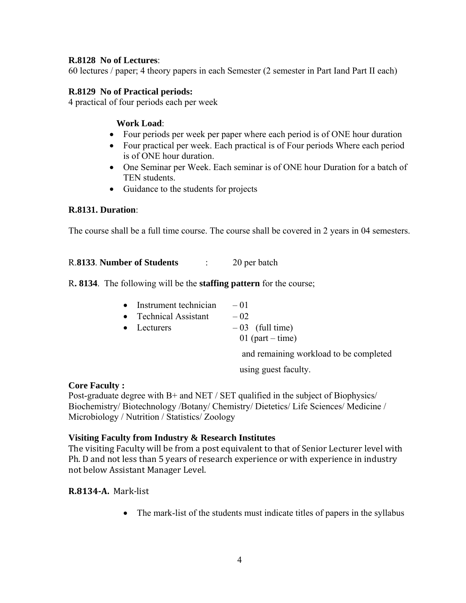# **R.8128 No of Lectures**:

60 lectures / paper; 4 theory papers in each Semester (2 semester in Part Iand Part II each)

# **R.8129 No of Practical periods:**

4 practical of four periods each per week

## **Work Load**:

- Four periods per week per paper where each period is of ONE hour duration
- Four practical per week. Each practical is of Four periods Where each period is of ONE hour duration.
- One Seminar per Week. Each seminar is of ONE hour Duration for a batch of TEN students.
- Guidance to the students for projects

# **R.8131. Duration**:

The course shall be a full time course. The course shall be covered in 2 years in 04 semesters.

# R.**8133**. **Number of Students** : 20 per batch

R**. 8134**. The following will be the **staffing pattern** for the course;

| • Instrument technician | $-01$                               |  |
|-------------------------|-------------------------------------|--|
| • Technical Assistant   | $-02$                               |  |
| $\bullet$ Lecturers     | $-03$ (full time)                   |  |
|                         | 01 (part – time)                    |  |
|                         | $\cdots$ $\cdots$ $\cdots$ $\cdots$ |  |

and remaining workload to be completed

using guest faculty.

#### **Core Faculty :**

Post-graduate degree with B+ and NET / SET qualified in the subject of Biophysics/ Biochemistry/ Biotechnology /Botany/ Chemistry/ Dietetics/ Life Sciences/ Medicine / Microbiology / Nutrition / Statistics/ Zoology

#### **Visiting Faculty from Industry & Research Institutes**

The visiting Faculty will be from a post equivalent to that of Senior Lecturer level with Ph. D and not less than 5 years of research experience or with experience in industry not below Assistant Manager Level.

# **R.8134A.** Mark‐list

• The mark-list of the students must indicate titles of papers in the syllabus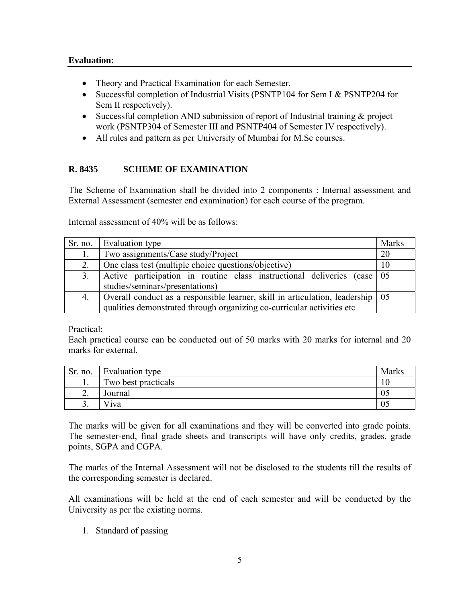- Theory and Practical Examination for each Semester.
- Successful completion of Industrial Visits (PSNTP104 for Sem I & PSNTP204 for Sem II respectively).
- Successful completion AND submission of report of Industrial training & project work (PSNTP304 of Semester III and PSNTP404 of Semester IV respectively).
- All rules and pattern as per University of Mumbai for M.Sc courses.

# **R. 8435 SCHEME OF EXAMINATION**

The Scheme of Examination shall be divided into 2 components : Internal assessment and External Assessment (semester end examination) for each course of the program.

Internal assessment of 40% will be as follows:

|    | Sr. no. Evaluation type                                                          | <b>Marks</b> |  |  |  |
|----|----------------------------------------------------------------------------------|--------------|--|--|--|
| 1. | Two assignments/Case study/Project                                               | 20           |  |  |  |
| 2. | One class test (multiple choice questions/objective)                             | 10           |  |  |  |
| 3. | Active participation in routine class instructional deliveries (case 05          |              |  |  |  |
|    | studies/seminars/presentations)                                                  |              |  |  |  |
| 4. | Overall conduct as a responsible learner, skill in articulation, leadership   05 |              |  |  |  |
|    | qualities demonstrated through organizing co-curricular activities etc           |              |  |  |  |

Practical:

Each practical course can be conducted out of 50 marks with 20 marks for internal and 20 marks for external.

| Sr. no.  | Evaluation type     | Marks |
|----------|---------------------|-------|
| . .      | Two best practicals | 10    |
| ∠.       | Journal             | U.    |
| <u>.</u> | v iva               | 05    |

The marks will be given for all examinations and they will be converted into grade points. The semester-end, final grade sheets and transcripts will have only credits, grades, grade points, SGPA and CGPA.

The marks of the Internal Assessment will not be disclosed to the students till the results of the corresponding semester is declared.

All examinations will be held at the end of each semester and will be conducted by the University as per the existing norms.

1. Standard of passing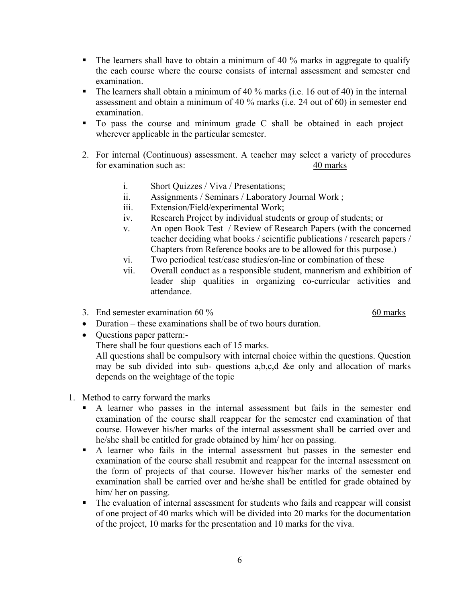- The learners shall have to obtain a minimum of 40 % marks in aggregate to qualify the each course where the course consists of internal assessment and semester end examination.
- The learners shall obtain a minimum of 40  $\%$  marks (i.e. 16 out of 40) in the internal assessment and obtain a minimum of 40 % marks (i.e. 24 out of 60) in semester end examination.
- To pass the course and minimum grade C shall be obtained in each project wherever applicable in the particular semester.
- 2. For internal (Continuous) assessment. A teacher may select a variety of procedures for examination such as: 40 marks
	- i. Short Quizzes / Viva / Presentations;
	- ii. Assignments / Seminars / Laboratory Journal Work ;
	- iii. Extension/Field/experimental Work;
	- iv. Research Project by individual students or group of students; or
	- v. An open Book Test / Review of Research Papers (with the concerned teacher deciding what books / scientific publications / research papers / Chapters from Reference books are to be allowed for this purpose.)
	- vi. Two periodical test/case studies/on-line or combination of these
	- vii. Overall conduct as a responsible student, mannerism and exhibition of leader ship qualities in organizing co-curricular activities and attendance.
- 3. End semester examination  $60\%$  60 marks

- Duration these examinations shall be of two hours duration.
- Questions paper pattern:-

There shall be four questions each of 15 marks.

All questions shall be compulsory with internal choice within the questions. Question may be sub divided into sub- questions a,b,c,d &e only and allocation of marks depends on the weightage of the topic

- 1. Method to carry forward the marks
	- A learner who passes in the internal assessment but fails in the semester end examination of the course shall reappear for the semester end examination of that course. However his/her marks of the internal assessment shall be carried over and he/she shall be entitled for grade obtained by him/ her on passing.
	- A learner who fails in the internal assessment but passes in the semester end examination of the course shall resubmit and reappear for the internal assessment on the form of projects of that course. However his/her marks of the semester end examination shall be carried over and he/she shall be entitled for grade obtained by him/ her on passing.
	- The evaluation of internal assessment for students who fails and reappear will consist of one project of 40 marks which will be divided into 20 marks for the documentation of the project, 10 marks for the presentation and 10 marks for the viva.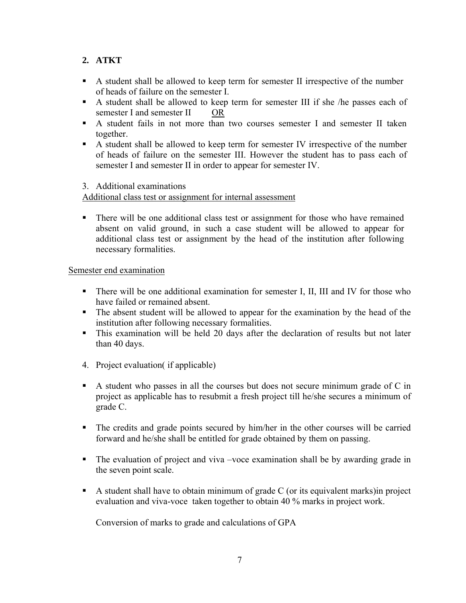# **2. ATKT**

- A student shall be allowed to keep term for semester II irrespective of the number of heads of failure on the semester I.
- A student shall be allowed to keep term for semester III if she /he passes each of semester I and semester II OR
- A student fails in not more than two courses semester I and semester II taken together.
- A student shall be allowed to keep term for semester IV irrespective of the number of heads of failure on the semester III. However the student has to pass each of semester I and semester II in order to appear for semester IV.

# 3. Additional examinations

Additional class test or assignment for internal assessment

 There will be one additional class test or assignment for those who have remained absent on valid ground, in such a case student will be allowed to appear for additional class test or assignment by the head of the institution after following necessary formalities.

# Semester end examination

- There will be one additional examination for semester I, II, III and IV for those who have failed or remained absent.
- The absent student will be allowed to appear for the examination by the head of the institution after following necessary formalities.
- This examination will be held 20 days after the declaration of results but not later than 40 days.
- 4. Project evaluation( if applicable)
- A student who passes in all the courses but does not secure minimum grade of  $C$  in project as applicable has to resubmit a fresh project till he/she secures a minimum of grade C.
- The credits and grade points secured by him/her in the other courses will be carried forward and he/she shall be entitled for grade obtained by them on passing.
- The evaluation of project and viva –voce examination shall be by awarding grade in the seven point scale.
- A student shall have to obtain minimum of grade C (or its equivalent marks) in project evaluation and viva-voce taken together to obtain 40 % marks in project work.

Conversion of marks to grade and calculations of GPA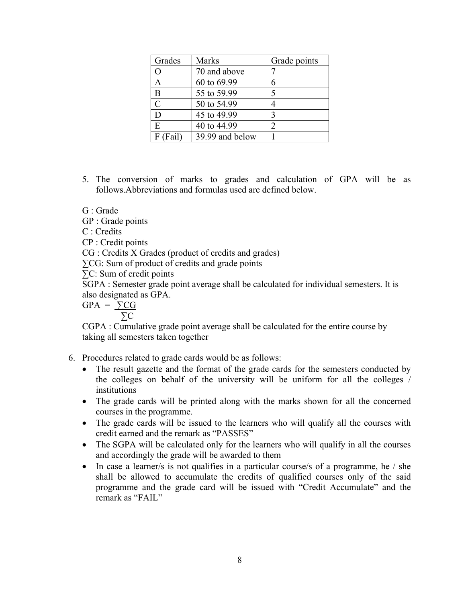| Grades         | <b>Marks</b>    | Grade points |
|----------------|-----------------|--------------|
| O              | 70 and above    |              |
| A              | 60 to 69.99     | 6            |
| B              | 55 to 59.99     | 5            |
| $\overline{C}$ | 50 to 54.99     |              |
| D              | 45 to 49.99     | 3            |
| E              | 40 to 44.99     | 2            |
| $F$ (Fail)     | 39.99 and below |              |

5. The conversion of marks to grades and calculation of GPA will be as follows.Abbreviations and formulas used are defined below.

G : Grade

GP : Grade points

C : Credits

CP : Credit points

CG : Credits X Grades (product of credits and grades)

∑CG: Sum of product of credits and grade points

∑C: Sum of credit points

SGPA : Semester grade point average shall be calculated for individual semesters. It is also designated as GPA.

 $GPA = \sum CG$ ∑C

CGPA : Cumulative grade point average shall be calculated for the entire course by taking all semesters taken together

6. Procedures related to grade cards would be as follows:

- The result gazette and the format of the grade cards for the semesters conducted by the colleges on behalf of the university will be uniform for all the colleges / institutions
- The grade cards will be printed along with the marks shown for all the concerned courses in the programme.
- The grade cards will be issued to the learners who will qualify all the courses with credit earned and the remark as "PASSES"
- The SGPA will be calculated only for the learners who will qualify in all the courses and accordingly the grade will be awarded to them
- In case a learner/s is not qualifies in a particular course/s of a programme, he / she shall be allowed to accumulate the credits of qualified courses only of the said programme and the grade card will be issued with "Credit Accumulate" and the remark as "FAIL"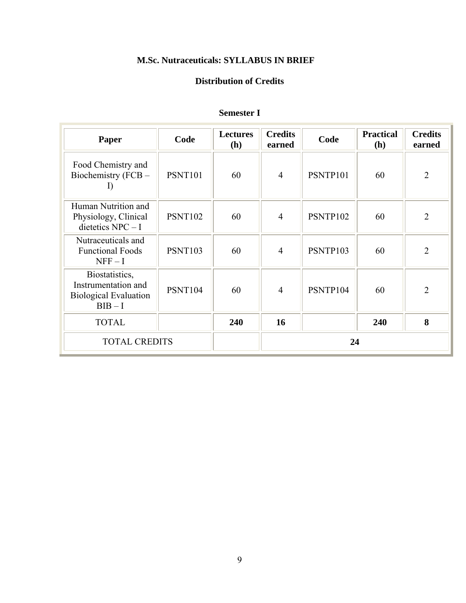# **M.Sc. Nutraceuticals: SYLLABUS IN BRIEF**

# **Distribution of Credits**

| Paper                                                                            | Code           | <b>Lectures</b><br><b>(h)</b> | <b>Credits</b><br>earned | Code     | <b>Practical</b><br>(h) | <b>Credits</b><br>earned |
|----------------------------------------------------------------------------------|----------------|-------------------------------|--------------------------|----------|-------------------------|--------------------------|
| Food Chemistry and<br>Biochemistry (FCB -                                        | <b>PSNT101</b> | 60                            | $\overline{4}$           | PSNTP101 | 60                      | $\overline{2}$           |
| Human Nutrition and<br>Physiology, Clinical<br>dietetics $NPC - I$               | <b>PSNT102</b> | 60                            | $\overline{4}$           | PSNTP102 | 60                      | $\overline{2}$           |
| Nutraceuticals and<br><b>Functional Foods</b><br>$NFF-I$                         | <b>PSNT103</b> | 60                            | $\overline{4}$           | PSNTP103 | 60                      | $\overline{2}$           |
| Biostatistics,<br>Instrumentation and<br><b>Biological Evaluation</b><br>$BIB-I$ | PSNT104        | 60                            | $\overline{4}$           | PSNTP104 | 60                      | $\overline{2}$           |
| <b>TOTAL</b>                                                                     |                | 240                           | 16                       |          | 240                     | 8                        |
| <b>TOTAL CREDITS</b>                                                             |                |                               |                          | 24       |                         |                          |

# **Semester I**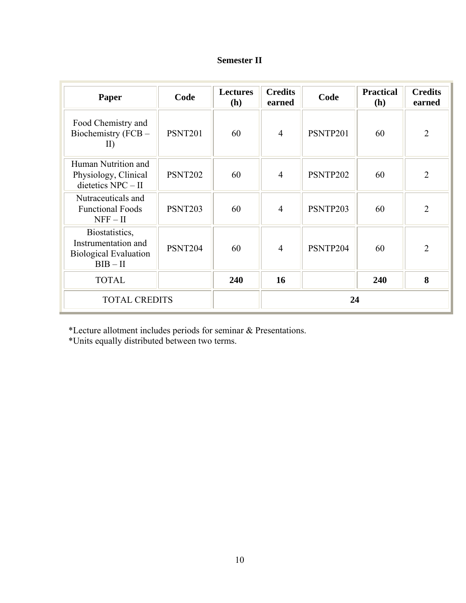| <b>Semester II</b> |  |
|--------------------|--|
|--------------------|--|

| Paper                                                                               | Code           | <b>Lectures</b><br><b>(h)</b> | <b>Credits</b><br>earned | Code     | <b>Practical</b><br>(h) | <b>Credits</b><br>earned |
|-------------------------------------------------------------------------------------|----------------|-------------------------------|--------------------------|----------|-------------------------|--------------------------|
| Food Chemistry and<br>Biochemistry (FCB -<br>$\rm II)$                              | <b>PSNT201</b> | 60                            | $\overline{4}$           | PSNTP201 | 60                      | $\overline{2}$           |
| Human Nutrition and<br>Physiology, Clinical<br>dietetics $NPC - II$                 | <b>PSNT202</b> | 60                            | $\overline{4}$           | PSNTP202 | 60                      | $\overline{2}$           |
| Nutraceuticals and<br><b>Functional Foods</b><br>NFF – II                           | <b>PSNT203</b> | 60                            | $\overline{4}$           | PSNTP203 | 60                      | $\overline{2}$           |
| Biostatistics,<br>Instrumentation and<br><b>Biological Evaluation</b><br>$BIB - II$ | PSNT204        | 60                            | $\overline{4}$           | PSNTP204 | 60                      | $\overline{2}$           |
| <b>TOTAL</b>                                                                        |                | 240                           | 16                       |          | 240                     | 8                        |
| <b>TOTAL CREDITS</b>                                                                |                |                               |                          | 24       |                         |                          |

\*Lecture allotment includes periods for seminar & Presentations.

\*Units equally distributed between two terms.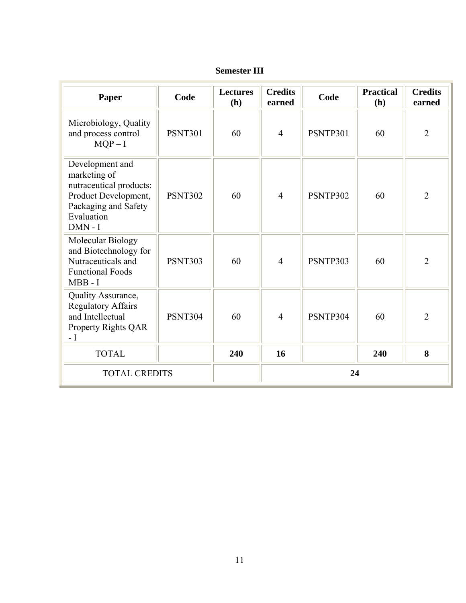| Paper                                                                                                                                 | Code           | <b>Lectures</b><br>(h) | <b>Credits</b><br>earned | Code     | <b>Practical</b><br>(h) | <b>Credits</b><br>earned |
|---------------------------------------------------------------------------------------------------------------------------------------|----------------|------------------------|--------------------------|----------|-------------------------|--------------------------|
| Microbiology, Quality<br>and process control<br>$MQP-I$                                                                               | <b>PSNT301</b> | 60                     | $\overline{4}$           | PSNTP301 | 60                      | $\overline{2}$           |
| Development and<br>marketing of<br>nutraceutical products:<br>Product Development,<br>Packaging and Safety<br>Evaluation<br>$DMN - I$ | <b>PSNT302</b> | 60                     | $\overline{4}$           | PSNTP302 | 60                      | $\overline{2}$           |
| Molecular Biology<br>and Biotechnology for<br>Nutraceuticals and<br><b>Functional Foods</b><br>$MBB - I$                              | <b>PSNT303</b> | 60                     | $\overline{4}$           | PSNTP303 | 60                      | $\overline{2}$           |
| Quality Assurance,<br><b>Regulatory Affairs</b><br>and Intellectual<br>Property Rights QAR<br>$\overline{\phantom{a}}$                | <b>PSNT304</b> | 60                     | $\overline{4}$           | PSNTP304 | 60                      | $\overline{2}$           |
| <b>TOTAL</b>                                                                                                                          |                | 240                    | 16                       |          | 240                     | 8                        |
| <b>TOTAL CREDITS</b>                                                                                                                  |                |                        |                          | 24       |                         |                          |

**Semester III**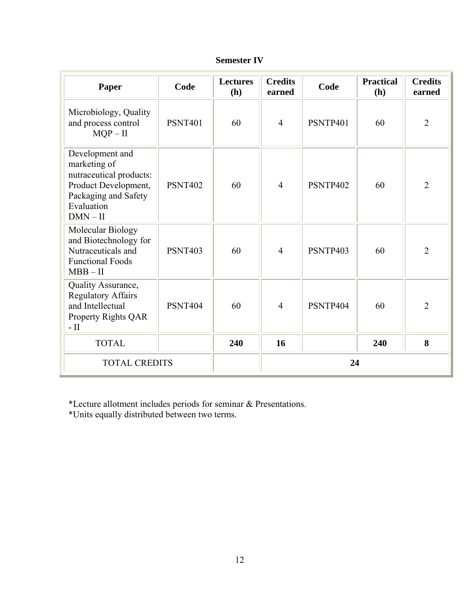| Paper                                                                                                                                  | Code           | <b>Lectures</b><br>(h) | <b>Credits</b><br>earned | Code     | <b>Practical</b><br>(h) | <b>Credits</b><br>earned |
|----------------------------------------------------------------------------------------------------------------------------------------|----------------|------------------------|--------------------------|----------|-------------------------|--------------------------|
| Microbiology, Quality<br>and process control<br>$MQP - II$                                                                             | <b>PSNT401</b> | 60                     | $\overline{4}$           | PSNTP401 | 60                      | $\overline{2}$           |
| Development and<br>marketing of<br>nutraceutical products:<br>Product Development,<br>Packaging and Safety<br>Evaluation<br>$DMN - II$ | <b>PSNT402</b> | 60                     | $\overline{4}$           | PSNTP402 | 60                      | $\overline{2}$           |
| Molecular Biology<br>and Biotechnology for<br>Nutraceuticals and<br><b>Functional Foods</b><br>$MBB - II$                              | <b>PSNT403</b> | 60                     | $\overline{4}$           | PSNTP403 | 60                      | $\overline{2}$           |
| Quality Assurance,<br><b>Regulatory Affairs</b><br>and Intellectual<br>Property Rights QAR<br>$-$ II                                   | <b>PSNT404</b> | 60                     | $\overline{4}$           | PSNTP404 | 60                      | $\overline{2}$           |
| <b>TOTAL</b>                                                                                                                           |                | 240                    | 16                       |          | 240                     | 8                        |
| <b>TOTAL CREDITS</b>                                                                                                                   |                |                        |                          | 24       |                         |                          |

| <b>Semester IV</b> |  |
|--------------------|--|
|--------------------|--|

\*Lecture allotment includes periods for seminar & Presentations.

\*Units equally distributed between two terms.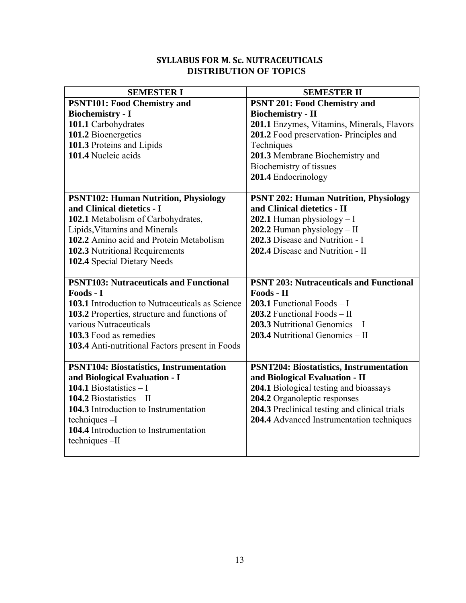# **SYLLABUS FOR M. Sc. NUTRACEUTICALS DISTRIBUTION OF TOPICS**

| <b>SEMESTER I</b>                                                                                                                                                                                                                                                                                                                                                             | <b>SEMESTER II</b>                                                                                                                                                                                                                                                                                                       |
|-------------------------------------------------------------------------------------------------------------------------------------------------------------------------------------------------------------------------------------------------------------------------------------------------------------------------------------------------------------------------------|--------------------------------------------------------------------------------------------------------------------------------------------------------------------------------------------------------------------------------------------------------------------------------------------------------------------------|
| <b>PSNT101: Food Chemistry and</b>                                                                                                                                                                                                                                                                                                                                            | <b>PSNT 201: Food Chemistry and</b>                                                                                                                                                                                                                                                                                      |
| <b>Biochemistry - I</b><br>101.1 Carbohydrates<br>101.2 Bioenergetics<br>101.3 Proteins and Lipids<br>101.4 Nucleic acids                                                                                                                                                                                                                                                     | <b>Biochemistry - II</b><br>201.1 Enzymes, Vitamins, Minerals, Flavors<br>201.2 Food preservation-Principles and<br>Techniques<br>201.3 Membrane Biochemistry and<br>Biochemistry of tissues<br>201.4 Endocrinology                                                                                                      |
| <b>PSNT102: Human Nutrition, Physiology</b><br>and Clinical dietetics - I<br>102.1 Metabolism of Carbohydrates,<br>Lipids, Vitamins and Minerals<br>102.2 Amino acid and Protein Metabolism<br>102.3 Nutritional Requirements<br>102.4 Special Dietary Needs<br><b>PSNT103: Nutraceuticals and Functional</b><br>Foods - I<br>103.1 Introduction to Nutraceuticals as Science | <b>PSNT 202: Human Nutrition, Physiology</b><br>and Clinical dietetics - II<br>202.1 Human physiology $-I$<br>202.2 Human physiology $-$ II<br>202.3 Disease and Nutrition - I<br>202.4 Disease and Nutrition - II<br><b>PSNT 203: Nutraceuticals and Functional</b><br>Foods - II<br><b>203.1</b> Functional Foods $-1$ |
| 103.2 Properties, structure and functions of<br>various Nutraceuticals<br>103.3 Food as remedies<br>103.4 Anti-nutritional Factors present in Foods                                                                                                                                                                                                                           | 203.2 Functional Foods $-$ II<br>203.3 Nutritional Genomics $-1$<br>203.4 Nutritional Genomics $-$ II                                                                                                                                                                                                                    |
| <b>PSNT104: Biostatistics, Instrumentation</b><br>and Biological Evaluation - I<br>104.1 Biostatistics $-1$<br>104.2 Biostatistics $-$ II<br>104.3 Introduction to Instrumentation<br>techniques-I<br>104.4 Introduction to Instrumentation<br>techniques-II                                                                                                                  | <b>PSNT204: Biostatistics, Instrumentation</b><br>and Biological Evaluation - II<br>204.1 Biological testing and bioassays<br>204.2 Organoleptic responses<br>204.3 Preclinical testing and clinical trials<br>204.4 Advanced Instrumentation techniques                                                                 |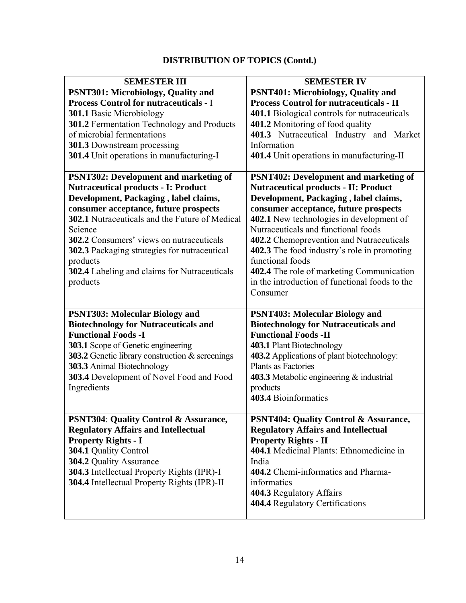# **DISTRIBUTION OF TOPICS (Contd.)**

| <b>SEMESTER III</b>                                     | <b>SEMESTER IV</b>                                             |
|---------------------------------------------------------|----------------------------------------------------------------|
| PSNT301: Microbiology, Quality and                      | PSNT401: Microbiology, Quality and                             |
| <b>Process Control for nutraceuticals - I</b>           | <b>Process Control for nutraceuticals - II</b>                 |
| <b>301.1 Basic Microbiology</b>                         | 401.1 Biological controls for nutraceuticals                   |
| <b>301.2</b> Fermentation Technology and Products       | 401.2 Monitoring of food quality                               |
| of microbial fermentations                              | 401.3 Nutraceutical Industry and Market                        |
| 301.3 Downstream processing                             | Information                                                    |
| 301.4 Unit operations in manufacturing-I                | 401.4 Unit operations in manufacturing-II                      |
| <b>PSNT302: Development and marketing of</b>            | <b>PSNT402: Development and marketing of</b>                   |
| <b>Nutraceutical products - I: Product</b>              | <b>Nutraceutical products - II: Product</b>                    |
| Development, Packaging, label claims,                   | Development, Packaging, label claims,                          |
| consumer acceptance, future prospects                   | consumer acceptance, future prospects                          |
| 302.1 Nutraceuticals and the Future of Medical          | 402.1 New technologies in development of                       |
| Science                                                 | Nutraceuticals and functional foods                            |
| 302.2 Consumers' views on nutraceuticals                | 402.2 Chemoprevention and Nutraceuticals                       |
| 302.3 Packaging strategies for nutraceutical            | 402.3 The food industry's role in promoting                    |
| products                                                | functional foods                                               |
| <b>302.4</b> Labeling and claims for Nutraceuticals     | 402.4 The role of marketing Communication                      |
| products                                                | in the introduction of functional foods to the                 |
|                                                         | Consumer                                                       |
|                                                         |                                                                |
| <b>PSNT303: Molecular Biology and</b>                   | <b>PSNT403: Molecular Biology and</b>                          |
| <b>Biotechnology for Nutraceuticals and</b>             | <b>Biotechnology for Nutraceuticals and</b>                    |
| <b>Functional Foods -I</b>                              | <b>Functional Foods -II</b>                                    |
| <b>303.1</b> Scope of Genetic engineering               | 403.1 Plant Biotechnology                                      |
| 303.2 Genetic library construction $\&$ screenings      | 403.2 Applications of plant biotechnology:                     |
| 303.3 Animal Biotechnology                              | Plants as Factories                                            |
| 303.4 Development of Novel Food and Food<br>Ingredients | <b>403.3</b> Metabolic engineering $\&$ industrial<br>products |
|                                                         | 403.4 Bioinformatics                                           |
|                                                         |                                                                |
| PSNT304: Quality Control & Assurance,                   | <b>PSNT404: Quality Control &amp; Assurance,</b>               |
| <b>Regulatory Affairs and Intellectual</b>              | <b>Regulatory Affairs and Intellectual</b>                     |
| <b>Property Rights - I</b>                              | <b>Property Rights - II</b>                                    |
| 304.1 Quality Control                                   | 404.1 Medicinal Plants: Ethnomedicine in                       |
| 304.2 Quality Assurance                                 | India                                                          |
| 304.3 Intellectual Property Rights (IPR)-I              | 404.2 Chemi-informatics and Pharma-                            |
| 304.4 Intellectual Property Rights (IPR)-II             | informatics                                                    |
|                                                         | 404.3 Regulatory Affairs                                       |
|                                                         | 404.4 Regulatory Certifications                                |
|                                                         |                                                                |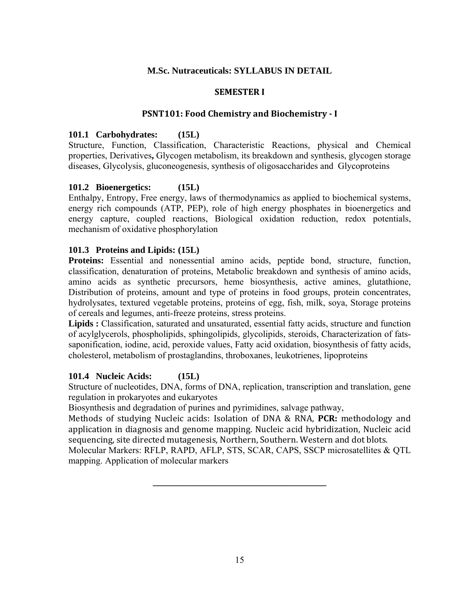# **M.Sc. Nutraceuticals: SYLLABUS IN DETAIL**

## **SEMESTER I**

## **PSNT101: Food Chemistry and Biochemistry I**

## **101.1 Carbohydrates: (15L)**

Structure, Function, Classification, Characteristic Reactions, physical and Chemical properties, Derivatives**,** Glycogen metabolism, its breakdown and synthesis, glycogen storage diseases, Glycolysis, gluconeogenesis, synthesis of oligosaccharides and Glycoproteins

# **101.2 Bioenergetics: (15L)**

Enthalpy, Entropy, Free energy, laws of thermodynamics as applied to biochemical systems, energy rich compounds (ATP, PEP), role of high energy phosphates in bioenergetics and energy capture, coupled reactions, Biological oxidation reduction, redox potentials, mechanism of oxidative phosphorylation

#### **101.3 Proteins and Lipids: (15L)**

**Proteins:** Essential and nonessential amino acids, peptide bond, structure, function, classification, denaturation of proteins, Metabolic breakdown and synthesis of amino acids, amino acids as synthetic precursors, heme biosynthesis, active amines, glutathione, Distribution of proteins, amount and type of proteins in food groups, protein concentrates, hydrolysates, textured vegetable proteins, proteins of egg, fish, milk, soya, Storage proteins of cereals and legumes, anti-freeze proteins, stress proteins.

Lipids : Classification, saturated and unsaturated, essential fatty acids, structure and function of acylglycerols, phospholipids, sphingolipids, glycolipids, steroids, Characterization of fatssaponification, iodine, acid, peroxide values, Fatty acid oxidation, biosynthesis of fatty acids, cholesterol, metabolism of prostaglandins, throboxanes, leukotrienes, lipoproteins

#### **101.4 Nucleic Acids: (15L)**

Structure of nucleotides, DNA, forms of DNA, replication, transcription and translation, gene regulation in prokaryotes and eukaryotes

Biosynthesis and degradation of purines and pyrimidines, salvage pathway,

Methods of studying Nucleic acids: Isolation of DNA & RNA, **PCR:** methodology and application in diagnosis and genome mapping. Nucleic acid hybridization, Nucleic acid sequencing, site directed mutagenesis, Northern, Southern. Western and dot blots.

Molecular Markers: RFLP, RAPD, AFLP, STS, SCAR, CAPS, SSCP microsatellites & QTL mapping. Application of molecular markers

**\_\_\_\_\_\_\_\_\_\_\_\_\_\_\_\_\_\_\_\_\_\_\_\_\_\_\_\_\_\_\_\_\_\_\_\_\_\_**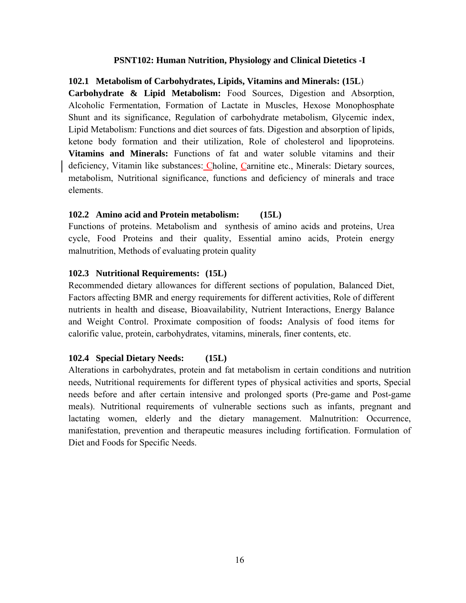### **PSNT102: Human Nutrition, Physiology and Clinical Dietetics -I**

#### **102.1 Metabolism of Carbohydrates, Lipids, Vitamins and Minerals: (15L**)

**Carbohydrate & Lipid Metabolism:** Food Sources, Digestion and Absorption, Alcoholic Fermentation, Formation of Lactate in Muscles, Hexose Monophosphate Shunt and its significance, Regulation of carbohydrate metabolism, Glycemic index, Lipid Metabolism: Functions and diet sources of fats. Digestion and absorption of lipids, ketone body formation and their utilization, Role of cholesterol and lipoproteins. **Vitamins and Minerals:** Functions of fat and water soluble vitamins and their deficiency, Vitamin like substances: Choline, Carnitine etc., Minerals: Dietary sources, metabolism, Nutritional significance, functions and deficiency of minerals and trace elements.

#### **102.2 Amino acid and Protein metabolism: (15L)**

Functions of proteins. Metabolism and synthesis of amino acids and proteins, Urea cycle, Food Proteins and their quality, Essential amino acids, Protein energy malnutrition, Methods of evaluating protein quality

#### **102.3 Nutritional Requirements: (15L)**

Recommended dietary allowances for different sections of population, Balanced Diet, Factors affecting BMR and energy requirements for different activities, Role of different nutrients in health and disease, Bioavailability, Nutrient Interactions, Energy Balance and Weight Control. Proximate composition of foods**:** Analysis of food items for calorific value, protein, carbohydrates, vitamins, minerals, finer contents, etc.

#### **102.4 Special Dietary Needs: (15L)**

Alterations in carbohydrates, protein and fat metabolism in certain conditions and nutrition needs, Nutritional requirements for different types of physical activities and sports, Special needs before and after certain intensive and prolonged sports (Pre-game and Post-game meals). Nutritional requirements of vulnerable sections such as infants, pregnant and lactating women, elderly and the dietary management. Malnutrition: Occurrence, manifestation, prevention and therapeutic measures including fortification. Formulation of Diet and Foods for Specific Needs.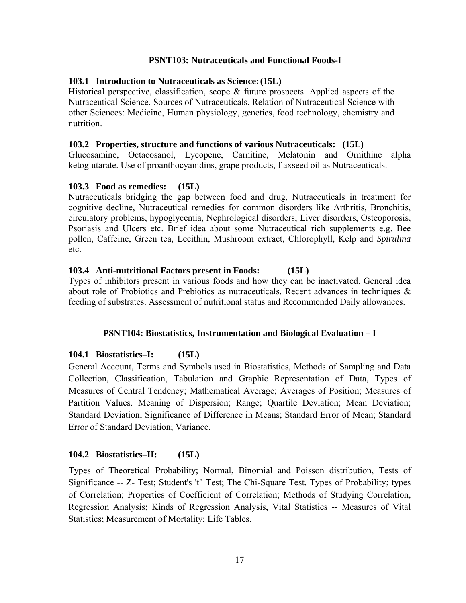# **PSNT103: Nutraceuticals and Functional Foods-I**

## **103.1 Introduction to Nutraceuticals as Science: (15L)**

Historical perspective, classification, scope & future prospects. Applied aspects of the Nutraceutical Science. Sources of Nutraceuticals. Relation of Nutraceutical Science with other Sciences: Medicine, Human physiology, genetics, food technology, chemistry and nutrition.

## **103.2 Properties, structure and functions of various Nutraceuticals: (15L)**

Glucosamine, Octacosanol, Lycopene, Carnitine, Melatonin and Ornithine alpha ketoglutarate. Use of proanthocyanidins, grape products, flaxseed oil as Nutraceuticals.

# **103.3 Food as remedies: (15L)**

Nutraceuticals bridging the gap between food and drug, Nutraceuticals in treatment for cognitive decline, Nutraceutical remedies for common disorders like Arthritis, Bronchitis, circulatory problems, hypoglycemia, Nephrological disorders, Liver disorders, Osteoporosis, Psoriasis and Ulcers etc. Brief idea about some Nutraceutical rich supplements e.g. Bee pollen, Caffeine, Green tea, Lecithin, Mushroom extract, Chlorophyll, Kelp and *Spirulina* etc.

# **103.4 Anti-nutritional Factors present in Foods: (15L)**

Types of inhibitors present in various foods and how they can be inactivated. General idea about role of Probiotics and Prebiotics as nutraceuticals. Recent advances in techniques & feeding of substrates. Assessment of nutritional status and Recommended Daily allowances.

#### **PSNT104: Biostatistics, Instrumentation and Biological Evaluation – I**

# **104.1 Biostatistics–I: (15L)**

General Account, Terms and Symbols used in Biostatistics, Methods of Sampling and Data Collection, Classification, Tabulation and Graphic Representation of Data, Types of Measures of Central Tendency; Mathematical Average; Averages of Position; Measures of Partition Values. Meaning of Dispersion; Range; Quartile Deviation; Mean Deviation; Standard Deviation; Significance of Difference in Means; Standard Error of Mean; Standard Error of Standard Deviation; Variance.

# **104.2 Biostatistics–II: (15L)**

Types of Theoretical Probability; Normal, Binomial and Poisson distribution, Tests of Significance -- Z- Test; Student's 't" Test; The Chi-Square Test. Types of Probability; types of Correlation; Properties of Coefficient of Correlation; Methods of Studying Correlation, Regression Analysis; Kinds of Regression Analysis, Vital Statistics **--** Measures of Vital Statistics; Measurement of Mortality; Life Tables.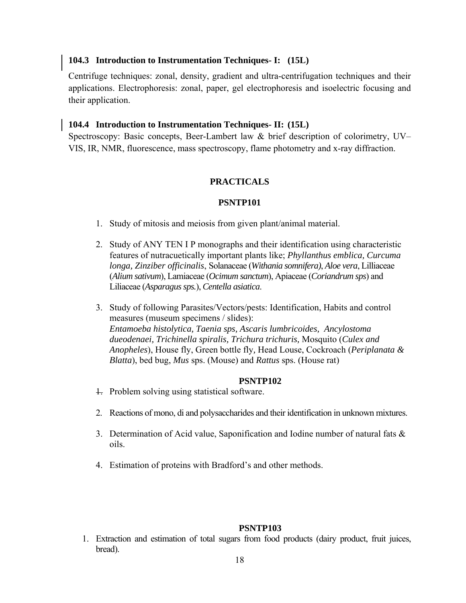# **104.3 Introduction to Instrumentation Techniques- I: (15L)**

Centrifuge techniques: zonal, density, gradient and ultra-centrifugation techniques and their applications. Electrophoresis: zonal, paper, gel electrophoresis and isoelectric focusing and their application.

## **104.4 Introduction to Instrumentation Techniques- II: (15L)**

Spectroscopy: Basic concepts, Beer-Lambert law & brief description of colorimetry, UV– VIS, IR, NMR, fluorescence, mass spectroscopy, flame photometry and x-ray diffraction.

# **PRACTICALS**

#### **PSNTP101**

- 1. Study of mitosis and meiosis from given plant/animal material.
- 2. Study of ANY TEN I P monographs and their identification using characteristic features of nutracuetically important plants like; *Phyllanthus emblica, Curcuma longa, Zinziber officinalis*, Solanaceae (*Withania somnifera)*, *Aloe vera*, Lilliaceae (*Alium sativum*), Lamiaceae (*Ocimum sanctum*), Apiaceae (*Coriandrum sps*) and Liliaceae (*Asparagus sps.*), *Centella asiatica*.
- 3. Study of following Parasites/Vectors/pests: Identification, Habits and control measures (museum specimens / slides): *Entamoeba histolytica, Taenia sps, Ascaris lumbricoides, Ancylostoma dueodenaei, Trichinella spiralis, Trichura trichuris,* Mosquito (*Culex and Anopheles*), House fly, Green bottle fly*,* Head Louse, Cockroach (*Periplanata & Blatta*), bed bug, *Mus* sps. (Mouse) and *Rattus* sps. (House rat)

#### **PSNTP102**

- 1. Problem solving using statistical software.
- 2. Reactions of mono, di and polysaccharides and their identification in unknown mixtures.
- 3. Determination of Acid value, Saponification and Iodine number of natural fats  $\&$ oils.
- 4. Estimation of proteins with Bradford's and other methods.

#### **PSNTP103**

1. Extraction and estimation of total sugars from food products (dairy product, fruit juices, bread).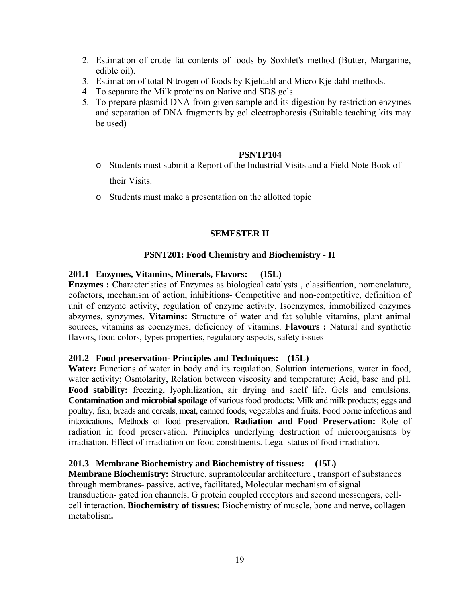- 2. Estimation of crude fat contents of foods by Soxhlet's method (Butter, Margarine, edible oil).
- 3. Estimation of total Nitrogen of foods by Kjeldahl and Micro Kjeldahl methods.
- 4. To separate the Milk proteins on Native and SDS gels.
- 5. To prepare plasmid DNA from given sample and its digestion by restriction enzymes and separation of DNA fragments by gel electrophoresis (Suitable teaching kits may be used)

#### **PSNTP104**

- o Students must submit a Report of the Industrial Visits and a Field Note Book of their Visits.
- o Students must make a presentation on the allotted topic

#### **SEMESTER II**

#### **PSNT201: Food Chemistry and Biochemistry - II**

#### **201.1 Enzymes, Vitamins, Minerals, Flavors: (15L)**

**Enzymes :** Characteristics of Enzymes as biological catalysts , classification, nomenclature, cofactors, mechanism of action, inhibitions- Competitive and non-competitive, definition of unit of enzyme activity, regulation of enzyme activity, Isoenzymes, immobilized enzymes abzymes, synzymes. **Vitamins:** Structure of water and fat soluble vitamins, plant animal sources, vitamins as coenzymes, deficiency of vitamins. **Flavours :** Natural and synthetic flavors, food colors, types properties, regulatory aspects, safety issues

#### **201.2 Food preservation- Principles and Techniques: (15L)**

**Water:** Functions of water in body and its regulation. Solution interactions, water in food, water activity; Osmolarity, Relation between viscosity and temperature; Acid, base and pH. **Food stability:** freezing, lyophilization, air drying and shelf life. Gels and emulsions. **Contamination and microbial spoilage** of various food products**:** Milk and milk products; eggs and poultry, fish, breads and cereals, meat, canned foods, vegetables and fruits. Food borne infections and intoxications. Methods of food preservation. **Radiation and Food Preservation:** Role of radiation in food preservation. Principles underlying destruction of microorganisms by irradiation. Effect of irradiation on food constituents. Legal status of food irradiation.

#### **201.3 Membrane Biochemistry and Biochemistry of tissues: (15L)**

**Membrane Biochemistry:** Structure, supramolecular architecture , transport of substances through membranes- passive, active, facilitated, Molecular mechanism of signal transduction- gated ion channels, G protein coupled receptors and second messengers, cellcell interaction. **Biochemistry of tissues:** Biochemistry of muscle, bone and nerve, collagen metabolism**.**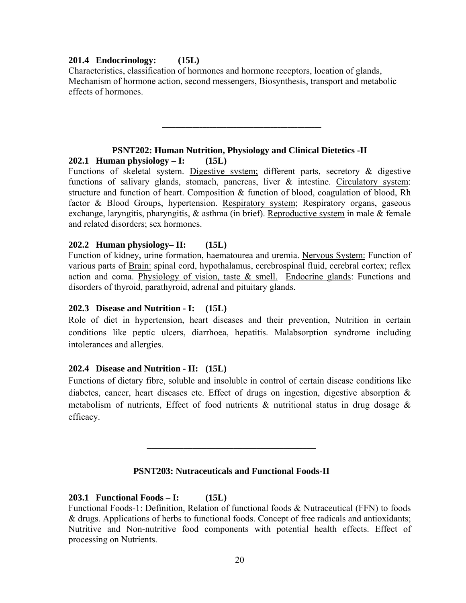# **201.4 Endocrinology: (15L)**

Characteristics, classification of hormones and hormone receptors, location of glands, Mechanism of hormone action, second messengers, Biosynthesis, transport and metabolic effects of hormones.

# **PSNT202: Human Nutrition, Physiology and Clinical Dietetics -II**

**\_\_\_\_\_\_\_\_\_\_\_\_\_\_\_\_\_\_\_\_\_\_\_\_\_\_\_\_\_\_\_\_\_\_\_\_\_\_\_\_\_\_\_\_\_\_\_**

**202.1 Human physiology – I: (15L)**  Functions of skeletal system. Digestive system; different parts, secretory & digestive functions of salivary glands, stomach, pancreas, liver  $\&$  intestine. Circulatory system: structure and function of heart. Composition & function of blood, coagulation of blood, Rh factor & Blood Groups, hypertension. Respiratory system; Respiratory organs, gaseous exchange, laryngitis, pharyngitis, & asthma (in brief). Reproductive system in male & female

and related disorders; sex hormones.

**202.2 Human physiology– II: (15L)**  Function of kidney, urine formation, haematourea and uremia. Nervous System: Function of various parts of Brain: spinal cord, hypothalamus, cerebrospinal fluid, cerebral cortex; reflex action and coma. Physiology of vision, taste  $\&$  smell. Endocrine glands: Functions and disorders of thyroid, parathyroid, adrenal and pituitary glands.

# **202.3 Disease and Nutrition - I: (15L)**

Role of diet in hypertension, heart diseases and their prevention, Nutrition in certain conditions like peptic ulcers, diarrhoea, hepatitis. Malabsorption syndrome including intolerances and allergies.

# **202.4 Disease and Nutrition - II: (15L)**

Functions of dietary fibre, soluble and insoluble in control of certain disease conditions like diabetes, cancer, heart diseases etc. Effect of drugs on ingestion, digestive absorption & metabolism of nutrients, Effect of food nutrients & nutritional status in drug dosage & efficacy.

# **PSNT203: Nutraceuticals and Functional Foods-II**

**\_\_\_\_\_\_\_\_\_\_\_\_\_\_\_\_\_\_\_\_\_\_\_\_\_\_\_\_\_\_\_\_\_\_\_\_\_** 

# **203.1 Functional Foods – I: (15L)**

Functional Foods-1: Definition, Relation of functional foods & Nutraceutical (FFN) to foods & drugs. Applications of herbs to functional foods. Concept of free radicals and antioxidants; Nutritive and Non-nutritive food components with potential health effects. Effect of processing on Nutrients.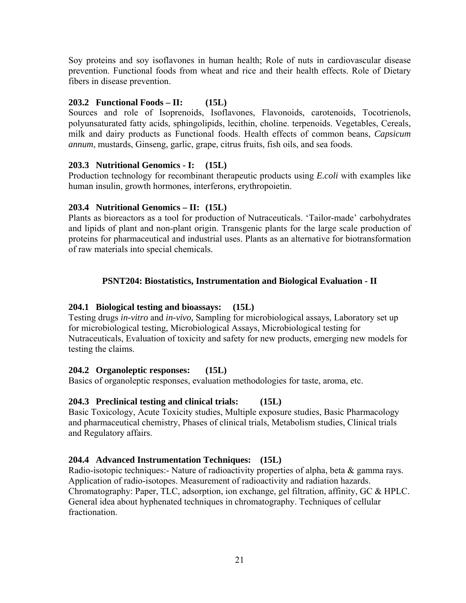Soy proteins and soy isoflavones in human health; Role of nuts in cardiovascular disease prevention. Functional foods from wheat and rice and their health effects. Role of Dietary fibers in disease prevention.

# **203.2 Functional Foods – II: (15L)**

Sources and role of Isoprenoids, Isoflavones, Flavonoids, carotenoids, Tocotrienols, polyunsaturated fatty acids, sphingolipids, lecithin, choline. terpenoids. Vegetables, Cereals, milk and dairy products as Functional foods. Health effects of common beans, *Capsicum annum*, mustards, Ginseng, garlic, grape, citrus fruits, fish oils, and sea foods.

# **203.3 Nutritional Genomics - I: (15L)**

Production technology for recombinant therapeutic products using *E.coli* with examples like human insulin, growth hormones, interferons, erythropoietin.

# **203.4 Nutritional Genomics – II: (15L)**

Plants as bioreactors as a tool for production of Nutraceuticals. 'Tailor-made' carbohydrates and lipids of plant and non-plant origin. Transgenic plants for the large scale production of proteins for pharmaceutical and industrial uses. Plants as an alternative for biotransformation of raw materials into special chemicals.

# **PSNT204: Biostatistics, Instrumentation and Biological Evaluation - II**

# **204.1 Biological testing and bioassays: (15L)**

Testing drugs *in-vitro* and *in-vivo,* Sampling for microbiological assays, Laboratory set up for microbiological testing, Microbiological Assays, Microbiological testing for Nutraceuticals, Evaluation of toxicity and safety for new products, emerging new models for testing the claims.

#### **204.2 Organoleptic responses: (15L)**

Basics of organoleptic responses, evaluation methodologies for taste, aroma, etc.

# **204.3 Preclinical testing and clinical trials: (15L)**

Basic Toxicology, Acute Toxicity studies, Multiple exposure studies, Basic Pharmacology and pharmaceutical chemistry, Phases of clinical trials, Metabolism studies, Clinical trials and Regulatory affairs.

# **204.4 Advanced Instrumentation Techniques: (15L)**

Radio-isotopic techniques:- Nature of radioactivity properties of alpha, beta & gamma rays. Application of radio-isotopes. Measurement of radioactivity and radiation hazards. Chromatography: Paper, TLC, adsorption, ion exchange, gel filtration, affinity, GC & HPLC. General idea about hyphenated techniques in chromatography. Techniques of cellular fractionation.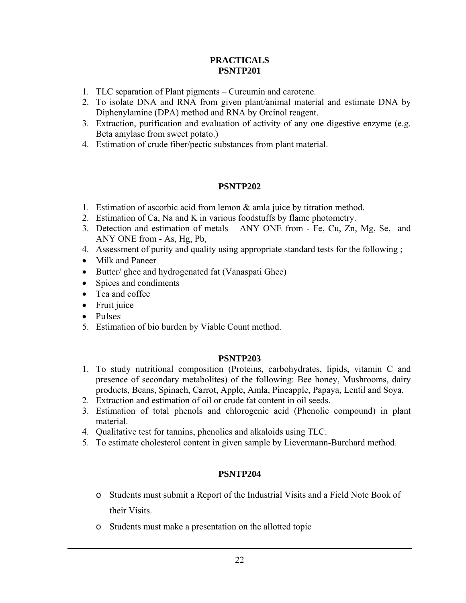# **PRACTICALS PSNTP201**

- 1. TLC separation of Plant pigments Curcumin and carotene.
- 2. To isolate DNA and RNA from given plant/animal material and estimate DNA by Diphenylamine (DPA) method and RNA by Orcinol reagent.
- 3. Extraction, purification and evaluation of activity of any one digestive enzyme (e.g. Beta amylase from sweet potato.)
- 4. Estimation of crude fiber/pectic substances from plant material.

# **PSNTP202**

- 1. Estimation of ascorbic acid from lemon & amla juice by titration method.
- 2. Estimation of Ca, Na and K in various foodstuffs by flame photometry.
- 3. Detection and estimation of metals ANY ONE from Fe, Cu, Zn, Mg, Se, and ANY ONE from - As, Hg, Pb,
- 4. Assessment of purity and quality using appropriate standard tests for the following ;
- Milk and Paneer
- Butter/ ghee and hydrogenated fat (Vanaspati Ghee)
- Spices and condiments
- Tea and coffee
- Fruit juice
- Pulses
- 5. Estimation of bio burden by Viable Count method.

# **PSNTP203**

- 1. To study nutritional composition (Proteins, carbohydrates, lipids, vitamin C and presence of secondary metabolites) of the following: Bee honey, Mushrooms, dairy products, Beans, Spinach, Carrot, Apple, Amla, Pineapple, Papaya, Lentil and Soya.
- 2. Extraction and estimation of oil or crude fat content in oil seeds.
- 3. Estimation of total phenols and chlorogenic acid (Phenolic compound) in plant material.
- 4. Qualitative test for tannins, phenolics and alkaloids using TLC.
- 5. To estimate cholesterol content in given sample by Lievermann-Burchard method.

# **PSNTP204**

- o Students must submit a Report of the Industrial Visits and a Field Note Book of their Visits.
- o Students must make a presentation on the allotted topic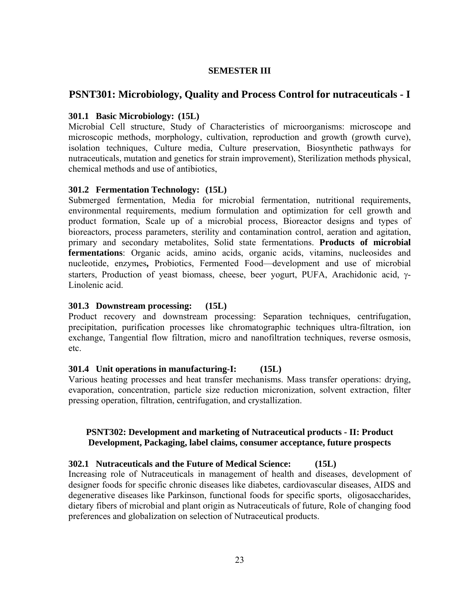#### **SEMESTER III**

# **PSNT301: Microbiology, Quality and Process Control for nutraceuticals - I**

## **301.1 Basic Microbiology: (15L)**

Microbial Cell structure, Study of Characteristics of microorganisms: microscope and microscopic methods, morphology, cultivation, reproduction and growth (growth curve), isolation techniques, Culture media, Culture preservation, Biosynthetic pathways for nutraceuticals, mutation and genetics for strain improvement), Sterilization methods physical, chemical methods and use of antibiotics,

#### **301.2 Fermentation Technology: (15L)**

Submerged fermentation, Media for microbial fermentation, nutritional requirements, environmental requirements, medium formulation and optimization for cell growth and product formation, Scale up of a microbial process, Bioreactor designs and types of bioreactors, process parameters, sterility and contamination control, aeration and agitation, primary and secondary metabolites, Solid state fermentations. **Products of microbial fermentations**: Organic acids, amino acids, organic acids, vitamins, nucleosides and nucleotide, enzymes**,** Probiotics, Fermented Food—development and use of microbial starters, Production of yeast biomass, cheese, beer yogurt, PUFA, Arachidonic acid, γ-Linolenic acid.

## **301.3 Downstream processing: (15L)**

Product recovery and downstream processing: Separation techniques, centrifugation, precipitation, purification processes like chromatographic techniques ultra-filtration, ion exchange, Tangential flow filtration, micro and nanofiltration techniques, reverse osmosis, etc.

#### **301.4 Unit operations in manufacturing-I: (15L)**

Various heating processes and heat transfer mechanisms. Mass transfer operations: drying, evaporation, concentration, particle size reduction micronization, solvent extraction, filter pressing operation, filtration, centrifugation, and crystallization.

# **PSNT302: Development and marketing of Nutraceutical products - II: Product Development, Packaging, label claims, consumer acceptance, future prospects**

#### **302.1 Nutraceuticals and the Future of Medical Science: (15L)**

Increasing role of Nutraceuticals in management of health and diseases, development of designer foods for specific chronic diseases like diabetes, cardiovascular diseases, AIDS and degenerative diseases like Parkinson, functional foods for specific sports, oligosaccharides, dietary fibers of microbial and plant origin as Nutraceuticals of future, Role of changing food preferences and globalization on selection of Nutraceutical products.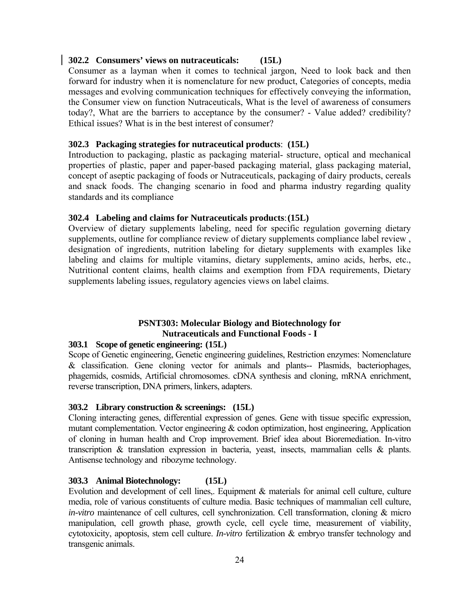# **302.2 Consumers' views on nutraceuticals: (15L)**

Consumer as a layman when it comes to technical jargon, Need to look back and then forward for industry when it is nomenclature for new product, Categories of concepts, media messages and evolving communication techniques for effectively conveying the information, the Consumer view on function Nutraceuticals, What is the level of awareness of consumers today?, What are the barriers to acceptance by the consumer? - Value added? credibility? Ethical issues? What is in the best interest of consumer?

## **302.3 Packaging strategies for nutraceutical products**: **(15L)**

Introduction to packaging, plastic as packaging material- structure, optical and mechanical properties of plastic, paper and paper-based packaging material, glass packaging material, concept of aseptic packaging of foods or Nutraceuticals, packaging of dairy products, cereals and snack foods. The changing scenario in food and pharma industry regarding quality standards and its compliance

# **302.4 Labeling and claims for Nutraceuticals products**: **(15L)**

Overview of dietary supplements labeling, need for specific regulation governing dietary supplements, outline for compliance review of dietary supplements compliance label review , designation of ingredients, nutrition labeling for dietary supplements with examples like labeling and claims for multiple vitamins, dietary supplements, amino acids, herbs, etc., Nutritional content claims, health claims and exemption from FDA requirements, Dietary supplements labeling issues, regulatory agencies views on label claims.

# **PSNT303: Molecular Biology and Biotechnology for Nutraceuticals and Functional Foods - I**

#### **303.1 Scope of genetic engineering: (15L)**

Scope of Genetic engineering, Genetic engineering guidelines, Restriction enzymes: Nomenclature & classification. Gene cloning vector for animals and plants-- Plasmids, bacteriophages, phagemids, cosmids, Artificial chromosomes. cDNA synthesis and cloning, mRNA enrichment, reverse transcription, DNA primers, linkers, adapters.

#### **303.2 Library construction & screenings: (15L)**

Cloning interacting genes, differential expression of genes. Gene with tissue specific expression, mutant complementation. Vector engineering & codon optimization, host engineering, Application of cloning in human health and Crop improvement. Brief idea about Bioremediation. In-vitro transcription & translation expression in bacteria, yeast, insects, mammalian cells & plants. Antisense technology and ribozyme technology.

#### **303.3 Animal Biotechnology: (15L)**

Evolution and development of cell lines,. Equipment & materials for animal cell culture, culture media, role of various constituents of culture media. Basic techniques of mammalian cell culture, *in-vitro* maintenance of cell cultures, cell synchronization. Cell transformation, cloning & micro manipulation, cell growth phase, growth cycle, cell cycle time, measurement of viability, cytotoxicity, apoptosis, stem cell culture. *In-vitro* fertilization & embryo transfer technology and transgenic animals.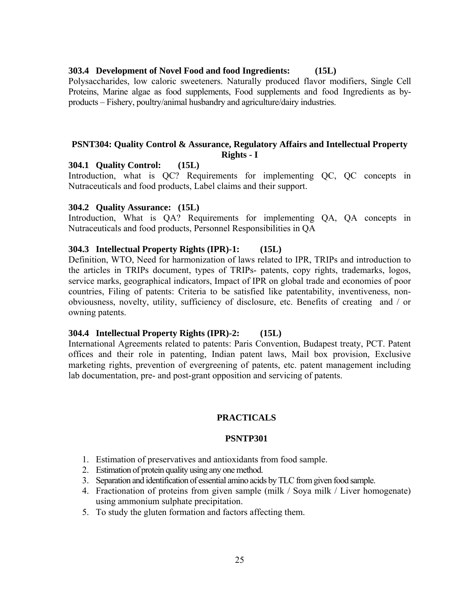#### **303.4 Development of Novel Food and food Ingredients: (15L)**

Polysaccharides, low caloric sweeteners. Naturally produced flavor modifiers, Single Cell Proteins, Marine algae as food supplements, Food supplements and food Ingredients as byproducts – Fishery, poultry/animal husbandry and agriculture/dairy industries.

#### **PSNT304: Quality Control & Assurance, Regulatory Affairs and Intellectual Property Rights - I**

#### **304.1 Quality Control: (15L)**

Introduction, what is QC? Requirements for implementing QC, QC concepts in Nutraceuticals and food products, Label claims and their support.

#### **304.2 Quality Assurance: (15L)**

Introduction, What is QA? Requirements for implementing QA, QA concepts in Nutraceuticals and food products, Personnel Responsibilities in QA

#### **304.3 Intellectual Property Rights (IPR)-1: (15L)**

Definition, WTO, Need for harmonization of laws related to IPR, TRIPs and introduction to the articles in TRIPs document, types of TRIPs- patents, copy rights, trademarks, logos, service marks, geographical indicators, Impact of IPR on global trade and economies of poor countries, Filing of patents: Criteria to be satisfied like patentability, inventiveness, nonobviousness, novelty, utility, sufficiency of disclosure, etc. Benefits of creating and / or owning patents.

#### **304.4 Intellectual Property Rights (IPR)-2: (15L)**

International Agreements related to patents: Paris Convention, Budapest treaty, PCT. Patent offices and their role in patenting, Indian patent laws, Mail box provision, Exclusive marketing rights, prevention of evergreening of patents, etc. patent management including lab documentation, pre- and post-grant opposition and servicing of patents.

#### **PRACTICALS**

#### **PSNTP301**

- 1. Estimation of preservatives and antioxidants from food sample.
- 2. Estimation of protein quality using any one method.
- 3. Separation and identification of essential amino acids by TLC from given food sample.
- 4. Fractionation of proteins from given sample (milk / Soya milk / Liver homogenate) using ammonium sulphate precipitation.
- 5. To study the gluten formation and factors affecting them.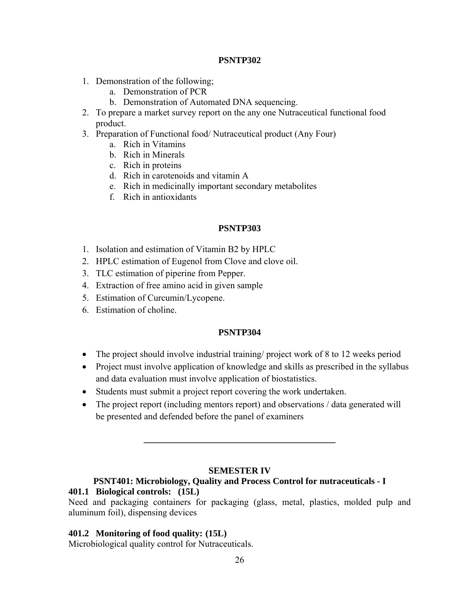### **PSNTP302**

- 1. Demonstration of the following;
	- a. Demonstration of PCR
	- b. Demonstration of Automated DNA sequencing.
- 2. To prepare a market survey report on the any one Nutraceutical functional food product.
- 3. Preparation of Functional food/ Nutraceutical product (Any Four)
	- a. Rich in Vitamins
	- b. Rich in Minerals
	- c. Rich in proteins
	- d. Rich in carotenoids and vitamin A
	- e. Rich in medicinally important secondary metabolites
	- f. Rich in antioxidants

# **PSNTP303**

- 1. Isolation and estimation of Vitamin B2 by HPLC
- 2. HPLC estimation of Eugenol from Clove and clove oil.
- 3. TLC estimation of piperine from Pepper.
- 4. Extraction of free amino acid in given sample
- 5. Estimation of Curcumin/Lycopene.
- 6. Estimation of choline.

#### **PSNTP304**

- The project should involve industrial training/ project work of 8 to 12 weeks period
- Project must involve application of knowledge and skills as prescribed in the syllabus and data evaluation must involve application of biostatistics.
- Students must submit a project report covering the work undertaken.
- The project report (including mentors report) and observations / data generated will be presented and defended before the panel of examiners

#### **SEMESTER IV**

**\_\_\_\_\_\_\_\_\_\_\_\_\_\_\_\_\_\_\_\_\_\_\_\_\_\_\_\_\_\_\_\_\_\_\_\_\_\_\_\_\_\_** 

#### **PSNT401: Microbiology, Quality and Process Control for nutraceuticals - I 401.1 Biological controls: (15L)**

Need and packaging containers for packaging (glass, metal, plastics, molded pulp and aluminum foil), dispensing devices

#### **401.2 Monitoring of food quality: (15L)**

Microbiological quality control for Nutraceuticals.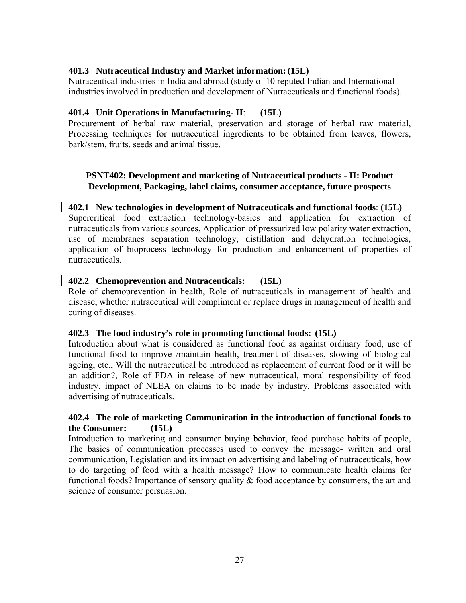# **401.3 Nutraceutical Industry and Market information: (15L)**

Nutraceutical industries in India and abroad (study of 10 reputed Indian and International industries involved in production and development of Nutraceuticals and functional foods).

# **401.4 Unit Operations in Manufacturing- II**: **(15L)**

Procurement of herbal raw material, preservation and storage of herbal raw material, Processing techniques for nutraceutical ingredients to be obtained from leaves, flowers, bark/stem, fruits, seeds and animal tissue.

# **PSNT402: Development and marketing of Nutraceutical products - II: Product Development, Packaging, label claims, consumer acceptance, future prospects**

# **402.1 New technologies in development of Nutraceuticals and functional foods**: **(15L)**

Supercritical food extraction technology-basics and application for extraction of nutraceuticals from various sources, Application of pressurized low polarity water extraction, use of membranes separation technology, distillation and dehydration technologies, application of bioprocess technology for production and enhancement of properties of nutraceuticals.

# **402.2 Chemoprevention and Nutraceuticals: (15L)**

Role of chemoprevention in health, Role of nutraceuticals in management of health and disease, whether nutraceutical will compliment or replace drugs in management of health and curing of diseases.

#### **402.3 The food industry's role in promoting functional foods: (15L)**

Introduction about what is considered as functional food as against ordinary food, use of functional food to improve /maintain health, treatment of diseases, slowing of biological ageing, etc., Will the nutraceutical be introduced as replacement of current food or it will be an addition?, Role of FDA in release of new nutraceutical, moral responsibility of food industry, impact of NLEA on claims to be made by industry, Problems associated with advertising of nutraceuticals.

#### **402.4 The role of marketing Communication in the introduction of functional foods to the Consumer: (15L)**

Introduction to marketing and consumer buying behavior, food purchase habits of people, The basics of communication processes used to convey the message- written and oral communication, Legislation and its impact on advertising and labeling of nutraceuticals, how to do targeting of food with a health message? How to communicate health claims for functional foods? Importance of sensory quality & food acceptance by consumers, the art and science of consumer persuasion.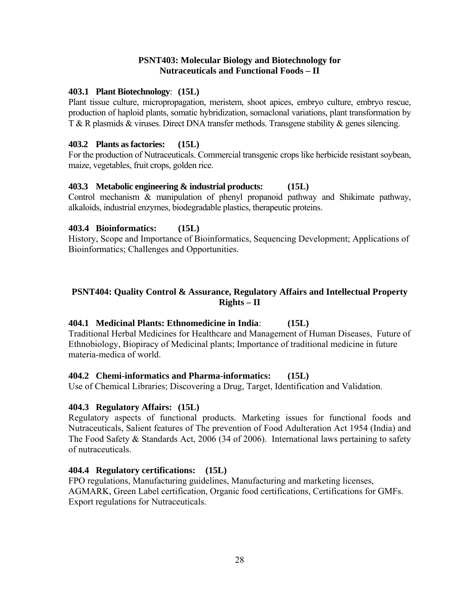## **PSNT403: Molecular Biology and Biotechnology for Nutraceuticals and Functional Foods – II**

# **403.1 Plant Biotechnology**: **(15L)**

Plant tissue culture, micropropagation, meristem, shoot apices, embryo culture, embryo rescue, production of haploid plants, somatic hybridization, somaclonal variations, plant transformation by T & R plasmids & viruses. Direct DNA transfer methods. Transgene stability & genes silencing.

## **403.2 Plants as factories: (15L)**

For the production of Nutraceuticals. Commercial transgenic crops like herbicide resistant soybean, maize, vegetables, fruit crops, golden rice.

# **403.3 Metabolic engineering & industrial products: (15L)**

Control mechanism & manipulation of phenyl propanoid pathway and Shikimate pathway, alkaloids, industrial enzymes, biodegradable plastics, therapeutic proteins.

# **403.4 Bioinformatics: (15L)**

History, Scope and Importance of Bioinformatics, Sequencing Development; Applications of Bioinformatics; Challenges and Opportunities.

# **PSNT404: Quality Control & Assurance, Regulatory Affairs and Intellectual Property Rights – II**

# **404.1 Medicinal Plants: Ethnomedicine in India**: **(15L)**

Traditional Herbal Medicines for Healthcare and Management of Human Diseases, Future of Ethnobiology, Biopiracy of Medicinal plants; Importance of traditional medicine in future materia-medica of world.

#### **404.2 Chemi-informatics and Pharma-informatics: (15L)**

Use of Chemical Libraries; Discovering a Drug, Target, Identification and Validation.

# **404.3 Regulatory Affairs: (15L)**

Regulatory aspects of functional products. Marketing issues for functional foods and Nutraceuticals, Salient features of The prevention of Food Adulteration Act 1954 (India) and The Food Safety & Standards Act, 2006 (34 of 2006). International laws pertaining to safety of nutraceuticals.

#### **404.4 Regulatory certifications: (15L)**

FPO regulations, Manufacturing guidelines, Manufacturing and marketing licenses, AGMARK, Green Label certification, Organic food certifications, Certifications for GMFs. Export regulations for Nutraceuticals.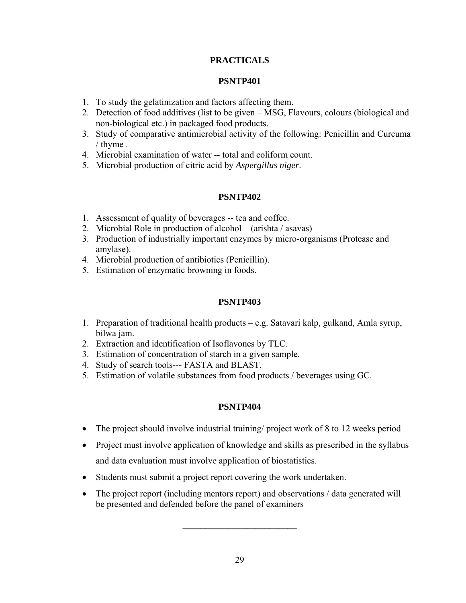# **PRACTICALS**

# **PSNTP401**

- 1. To study the gelatinization and factors affecting them.
- 2. Detection of food additives (list to be given MSG, Flavours, colours (biological and non-biological etc.) in packaged food products.
- 3. Study of comparative antimicrobial activity of the following: Penicillin and Curcuma / thyme .
- 4. Microbial examination of water -- total and coliform count.
- 5. Microbial production of citric acid by *Aspergillus niger*.

# **PSNTP402**

- 1. Assessment of quality of beverages -- tea and coffee.
- 2. Microbial Role in production of alcohol (arishta / asavas)
- 3. Production of industrially important enzymes by micro-organisms (Protease and amylase).
- 4. Microbial production of antibiotics (Penicillin).
- 5. Estimation of enzymatic browning in foods.

# **PSNTP403**

- 1. Preparation of traditional health products e.g. Satavari kalp, gulkand, Amla syrup, bilwa jam.
- 2. Extraction and identification of Isoflavones by TLC.
- 3. Estimation of concentration of starch in a given sample.
- 4. Study of search tools--- FASTA and BLAST.
- 5. Estimation of volatile substances from food products / beverages using GC.

# **PSNTP404**

- The project should involve industrial training/ project work of 8 to 12 weeks period
- Project must involve application of knowledge and skills as prescribed in the syllabus and data evaluation must involve application of biostatistics.
- Students must submit a project report covering the work undertaken.
- The project report (including mentors report) and observations / data generated will be presented and defended before the panel of examiners

**\_\_\_\_\_\_\_\_\_\_\_\_\_\_\_\_\_\_\_\_\_\_\_\_\_**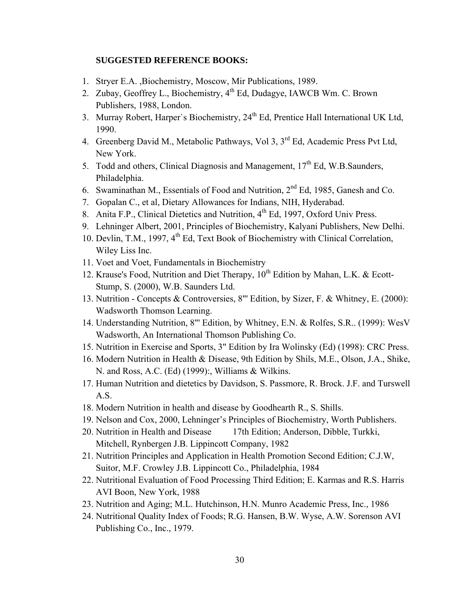#### **SUGGESTED REFERENCE BOOKS:**

- 1. Stryer E.A. ,Biochemistry, Moscow, Mir Publications, 1989.
- 2. Zubay, Geoffrey L., Biochemistry, 4<sup>th</sup> Ed, Dudagye, IAWCB Wm. C. Brown Publishers, 1988, London.
- 3. Murray Robert, Harper's Biochemistry, 24<sup>th</sup> Ed, Prentice Hall International UK Ltd, 1990.
- 4. Greenberg David M., Metabolic Pathways, Vol 3, 3<sup>rd</sup> Ed, Academic Press Pvt Ltd, New York.
- 5. Todd and others, Clinical Diagnosis and Management,  $17<sup>th</sup>$  Ed, W.B.Saunders, Philadelphia.
- 6. Swaminathan M., Essentials of Food and Nutrition, 2nd Ed, 1985, Ganesh and Co.
- 7. Gopalan C., et al, Dietary Allowances for Indians, NIH, Hyderabad.
- 8. Anita F.P., Clinical Dietetics and Nutrition,  $4<sup>th</sup>$  Ed, 1997, Oxford Univ Press.
- 9. Lehninger Albert, 2001, Principles of Biochemistry, Kalyani Publishers, New Delhi.
- 10. Devlin, T.M., 1997, 4<sup>th</sup> Ed, Text Book of Biochemistry with Clinical Correlation, Wiley Liss Inc.
- 11. Voet and Voet, Fundamentals in Biochemistry
- 12. Krause's Food, Nutrition and Diet Therapy, 10<sup>th</sup> Edition by Mahan, L.K. & Ecott-Stump, S. (2000), W.B. Saunders Ltd.
- 13. Nutrition Concepts & Controversies, 8"' Edition, by Sizer, F. & Whitney, E. (2000): Wadsworth Thomson Learning.
- 14. Understanding Nutrition, 8"' Edition, by Whitney, E.N. & Rolfes, S.R.. (1999): WesV Wadsworth, An International Thomson Publishing Co.
- 15. Nutrition in Exercise and Sports, 3" Edition by Ira Wolinsky (Ed) (1998): CRC Press.
- 16. Modern Nutrition in Health & Disease, 9th Edition by Shils, M.E., Olson, J.A., Shike, N. and Ross, A.C. (Ed) (1999):, Williams & Wilkins.
- 17. Human Nutrition and dietetics by Davidson, S. Passmore, R. Brock. J.F. and Turswell A.S.
- 18. Modern Nutrition in health and disease by Goodhearth R., S. Shills.
- 19. Nelson and Cox, 2000, Lehninger's Principles of Biochemistry, Worth Publishers.
- 20. Nutrition in Health and Disease 17th Edition; Anderson, Dibble, Turkki, Mitchell, Rynbergen J.B. Lippincott Company, 1982
- 21. Nutrition Principles and Application in Health Promotion Second Edition; C.J.W, Suitor, M.F. Crowley J.B. Lippincott Co., Philadelphia, 1984
- 22. Nutritional Evaluation of Food Processing Third Edition; E. Karmas and R.S. Harris AVI Boon, New York, 1988
- 23. Nutrition and Aging; M.L. Hutchinson, H.N. Munro Academic Press, Inc., 1986
- 24. Nutritional Quality Index of Foods; R.G. Hansen, B.W. Wyse, A.W. Sorenson AVI Publishing Co., Inc., 1979.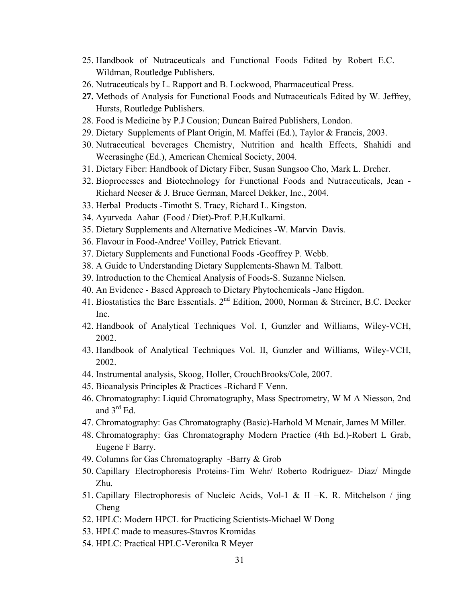- 25. Handbook of Nutraceuticals and Functional Foods Edited by Robert E.C. Wildman, Routledge Publishers.
- 26. Nutraceuticals by L. Rapport and B. Lockwood, Pharmaceutical Press.
- **27.** Methods of Analysis for Functional Foods and Nutraceuticals Edited by W. Jeffrey, Hursts, Routledge Publishers.
- 28. Food is Medicine by P.J Cousion; Duncan Baired Publishers, London.
- 29. Dietary Supplements of Plant Origin, M. Maffei (Ed.), Taylor & Francis, 2003.
- 30. Nutraceutical beverages Chemistry, Nutrition and health Effects, Shahidi and Weerasinghe (Ed.), American Chemical Society, 2004.
- 31. Dietary Fiber: Handbook of Dietary Fiber, Susan Sungsoo Cho, Mark L. Dreher.
- 32. Bioprocesses and Biotechnology for Functional Foods and Nutraceuticals, Jean Richard Neeser & J. Bruce German, Marcel Dekker, Inc., 2004.
- 33. Herbal Products -Timotht S. Tracy, Richard L. Kingston.
- 34. Ayurveda Aahar (Food / Diet)-Prof. P.H.Kulkarni.
- 35. Dietary Supplements and Alternative Medicines -W. Marvin Davis.
- 36. Flavour in Food-Andree' Voilley, Patrick Etievant.
- 37. Dietary Supplements and Functional Foods -Geoffrey P. Webb.
- 38. A Guide to Understanding Dietary Supplements-Shawn M. Talbott.
- 39. Introduction to the Chemical Analysis of Foods-S. Suzanne Nielsen.
- 40. An Evidence Based Approach to Dietary Phytochemicals -Jane Higdon.
- 41. Biostatistics the Bare Essentials. 2<sup>nd</sup> Edition, 2000, Norman & Streiner, B.C. Decker Inc.
- 42. Handbook of Analytical Techniques Vol. I, Gunzler and Williams, Wiley-VCH, 2002.
- 43. Handbook of Analytical Techniques Vol. II, Gunzler and Williams, Wiley-VCH, 2002.
- 44. Instrumental analysis, Skoog, Holler, CrouchBrooks/Cole, 2007.
- 45. Bioanalysis Principles & Practices -Richard F Venn.
- 46. Chromatography: Liquid Chromatography, Mass Spectrometry, W M A Niesson, 2nd and  $3^{rd}$  Ed.
- 47. Chromatography: Gas Chromatography (Basic)-Harhold M Mcnair, James M Miller.
- 48. Chromatography: Gas Chromatography Modern Practice (4th Ed.)-Robert L Grab, Eugene F Barry.
- 49. Columns for Gas Chromatography -Barry & Grob
- 50. Capillary Electrophoresis Proteins-Tim Wehr/ Roberto Rodriguez- Diaz/ Mingde Zhu.
- 51. Capillary Electrophoresis of Nucleic Acids, Vol-1 & II –K. R. Mitchelson / jing Cheng
- 52. HPLC: Modern HPCL for Practicing Scientists-Michael W Dong
- 53. HPLC made to measures-Stavros Kromidas
- 54. HPLC: Practical HPLC-Veronika R Meyer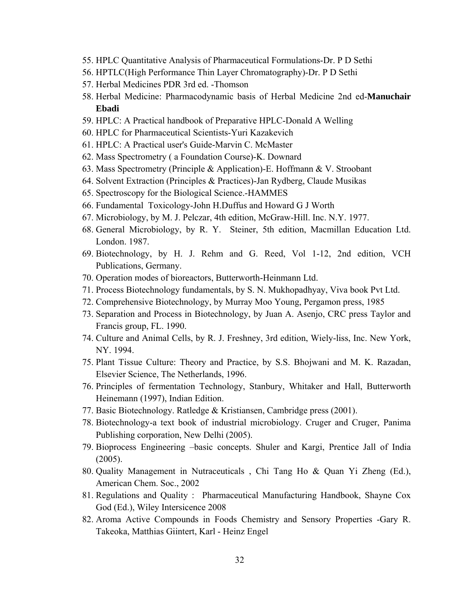- 55. HPLC Quantitative Analysis of Pharmaceutical Formulations-Dr. P D Sethi
- 56. HPTLC(High Performance Thin Layer Chromatography)-Dr. P D Sethi
- 57. Herbal Medicines PDR 3rd ed. -Thomson
- 58. Herbal Medicine: Pharmacodynamic basis of Herbal Medicine 2nd ed-**Manuchair Ebadi**
- 59. HPLC: A Practical handbook of Preparative HPLC-Donald A Welling
- 60. HPLC for Pharmaceutical Scientists-Yuri Kazakevich
- 61. HPLC: A Practical user's Guide-Marvin C. McMaster
- 62. Mass Spectrometry ( a Foundation Course)-K. Downard
- 63. Mass Spectrometry (Principle & Application)-E. Hoffmann & V. Stroobant
- 64. Solvent Extraction (Principles & Practices)-Jan Rydberg, Claude Musikas
- 65. Spectroscopy for the Biological Science.-HAMMES
- 66. Fundamental Toxicology-John H.Duffus and Howard G J Worth
- 67. Microbiology, by M. J. Pelczar, 4th edition, McGraw-Hill. Inc. N.Y. 1977.
- 68. General Microbiology, by R. Y. Steiner, 5th edition, Macmillan Education Ltd. London. 1987.
- 69. Biotechnology, by H. J. Rehm and G. Reed, Vol 1-12, 2nd edition, VCH Publications, Germany.
- 70. Operation modes of bioreactors, Butterworth-Heinmann Ltd.
- 71. Process Biotechnology fundamentals, by S. N. Mukhopadhyay, Viva book Pvt Ltd.
- 72. Comprehensive Biotechnology, by Murray Moo Young, Pergamon press, 1985
- 73. Separation and Process in Biotechnology, by Juan A. Asenjo, CRC press Taylor and Francis group, FL. 1990.
- 74. Culture and Animal Cells, by R. J. Freshney, 3rd edition, Wiely-liss, Inc. New York, NY. 1994.
- 75. Plant Tissue Culture: Theory and Practice, by S.S. Bhojwani and M. K. Razadan, Elsevier Science, The Netherlands, 1996.
- 76. Principles of fermentation Technology, Stanbury, Whitaker and Hall, Butterworth Heinemann (1997), Indian Edition.
- 77. Basic Biotechnology. Ratledge & Kristiansen, Cambridge press (2001).
- 78. Biotechnology-a text book of industrial microbiology. Cruger and Cruger, Panima Publishing corporation, New Delhi (2005).
- 79. Bioprocess Engineering –basic concepts. Shuler and Kargi, Prentice Jall of India (2005).
- 80. Quality Management in Nutraceuticals , Chi Tang Ho & Quan Yi Zheng (Ed.), American Chem. Soc., 2002
- 81. Regulations and Quality : Pharmaceutical Manufacturing Handbook, Shayne Cox God (Ed.), Wiley Intersicence 2008
- 82. Aroma Active Compounds in Foods Chemistry and Sensory Properties -Gary R. Takeoka, Matthias Giintert, Karl - Heinz Engel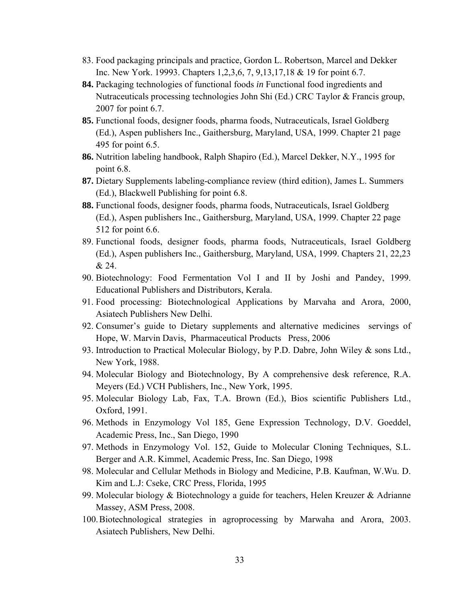- 83. Food packaging principals and practice, Gordon L. Robertson, Marcel and Dekker Inc. New York. 19993. Chapters 1,2,3,6, 7, 9,13,17,18 & 19 for point 6.7.
- **84.** Packaging technologies of functional foods *in* Functional food ingredients and Nutraceuticals processing technologies John Shi (Ed.) CRC Taylor & Francis group, 2007 for point 6.7.
- **85.** Functional foods, designer foods, pharma foods, Nutraceuticals, Israel Goldberg (Ed.), Aspen publishers Inc., Gaithersburg, Maryland, USA, 1999. Chapter 21 page 495 for point 6.5.
- **86.** Nutrition labeling handbook, Ralph Shapiro (Ed.), Marcel Dekker, N.Y., 1995 for point 6.8.
- **87.** Dietary Supplements labeling-compliance review (third edition), James L. Summers (Ed.), Blackwell Publishing for point 6.8.
- **88.** Functional foods, designer foods, pharma foods, Nutraceuticals, Israel Goldberg (Ed.), Aspen publishers Inc., Gaithersburg, Maryland, USA, 1999. Chapter 22 page 512 for point 6.6.
- 89. Functional foods, designer foods, pharma foods, Nutraceuticals, Israel Goldberg (Ed.), Aspen publishers Inc., Gaithersburg, Maryland, USA, 1999. Chapters 21, 22,23 & 24.
- 90. Biotechnology: Food Fermentation Vol I and II by Joshi and Pandey, 1999. Educational Publishers and Distributors, Kerala.
- 91. Food processing: Biotechnological Applications by Marvaha and Arora, 2000, Asiatech Publishers New Delhi.
- 92. Consumer's guide to Dietary supplements and alternative medicines servings of Hope, W. Marvin Davis, Pharmaceutical Products Press, 2006
- 93. Introduction to Practical Molecular Biology, by P.D. Dabre, John Wiley & sons Ltd., New York, 1988.
- 94. Molecular Biology and Biotechnology, By A comprehensive desk reference, R.A. Meyers (Ed.) VCH Publishers, Inc., New York, 1995.
- 95. Molecular Biology Lab, Fax, T.A. Brown (Ed.), Bios scientific Publishers Ltd., Oxford, 1991.
- 96. Methods in Enzymology Vol 185, Gene Expression Technology, D.V. Goeddel, Academic Press, Inc., San Diego, 1990
- 97. Methods in Enzymology Vol. 152, Guide to Molecular Cloning Techniques, S.L. Berger and A.R. Kimmel, Academic Press, Inc. San Diego, 1998
- 98. Molecular and Cellular Methods in Biology and Medicine, P.B. Kaufman, W.Wu. D. Kim and L.J: Cseke, CRC Press, Florida, 1995
- 99. Molecular biology & Biotechnology a guide for teachers, Helen Kreuzer & Adrianne Massey, ASM Press, 2008.
- 100.Biotechnological strategies in agroprocessing by Marwaha and Arora, 2003. Asiatech Publishers, New Delhi.